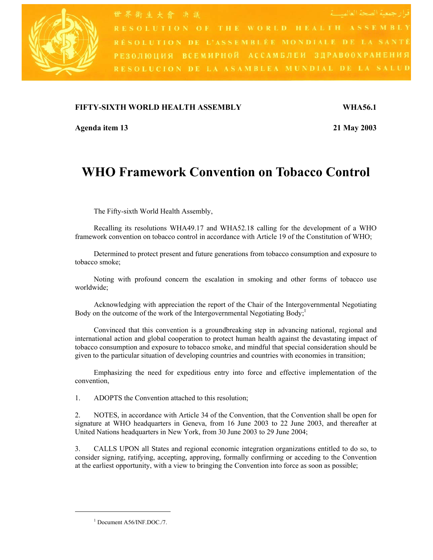

RESOLUTION OF THE WORLD HEALTH ASSEMBI РЕЗОЛЮЦИЯ ВСЕМИРНОЙ АССАМБЛЕИ ЗДРАВООХРАНЕНИЯ RESOLUCION DE LA ASAMBLEA MUNDIAL DE LA SALUD

# **FIFTY-SIXTH WORLD HEALTH ASSEMBLY WHA56.1**

**Agenda item 13 21 May 2003** 

# **WHO Framework Convention on Tobacco Control**

The Fifty-sixth World Health Assembly,

Recalling its resolutions WHA49.17 and WHA52.18 calling for the development of a WHO framework convention on tobacco control in accordance with Article 19 of the Constitution of WHO;

Determined to protect present and future generations from tobacco consumption and exposure to tobacco smoke;

Noting with profound concern the escalation in smoking and other forms of tobacco use worldwide;

Acknowledging with appreciation the report of the Chair of the Intergovernmental Negotiating Body on the outcome of the work of the Intergovernmental Negotiating Body;<sup>1</sup>

Convinced that this convention is a groundbreaking step in advancing national, regional and international action and global cooperation to protect human health against the devastating impact of tobacco consumption and exposure to tobacco smoke, and mindful that special consideration should be given to the particular situation of developing countries and countries with economies in transition;

Emphasizing the need for expeditious entry into force and effective implementation of the convention,

1. ADOPTS the Convention attached to this resolution;

2. NOTES, in accordance with Article 34 of the Convention, that the Convention shall be open for signature at WHO headquarters in Geneva, from 16 June 2003 to 22 June 2003, and thereafter at United Nations headquarters in New York, from 30 June 2003 to 29 June 2004;

3. CALLS UPON all States and regional economic integration organizations entitled to do so, to consider signing, ratifying, accepting, approving, formally confirming or acceding to the Convention at the earliest opportunity, with a view to bringing the Convention into force as soon as possible;

l

<sup>1</sup> Document A56/INF.DOC./7.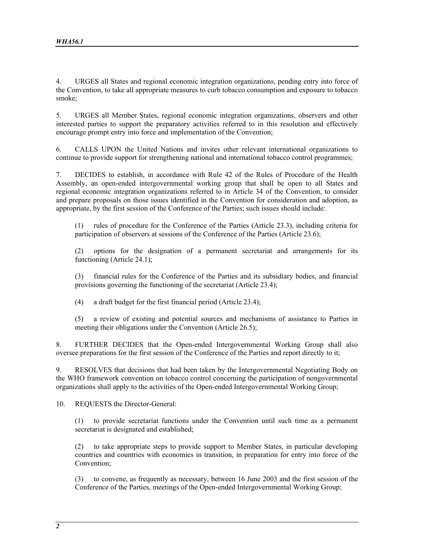4. URGES all States and regional economic integration organizations, pending entry into force of the Convention, to take all appropriate measures to curb tobacco consumption and exposure to tobacco smoke;

5. URGES all Member States, regional economic integration organizations, observers and other interested parties to support the preparatory activities referred to in this resolution and effectively encourage prompt entry into force and implementation of the Convention;

6. CALLS UPON the United Nations and invites other relevant international organizations to continue to provide support for strengthening national and international tobacco control programmes;

7. DECIDES to establish, in accordance with Rule 42 of the Rules of Procedure of the Health Assembly, an open-ended intergovernmental working group that shall be open to all States and regional economic integration organizations referred to in Article 34 of the Convention, to consider and prepare proposals on those issues identified in the Convention for consideration and adoption, as appropriate, by the first session of the Conference of the Parties; such issues should include:

(1) rules of procedure for the Conference of the Parties (Article 23.3), including criteria for participation of observers at sessions of the Conference of the Parties (Article 23.6);

(2) options for the designation of a permanent secretariat and arrangements for its functioning (Article 24.1);

(3) financial rules for the Conference of the Parties and its subsidiary bodies, and financial provisions governing the functioning of the secretariat (Article 23.4);

(4) a draft budget for the first financial period (Article 23.4);

(5) a review of existing and potential sources and mechanisms of assistance to Parties in meeting their obligations under the Convention (Article 26.5);

8. FURTHER DECIDES that the Open-ended Intergovernmental Working Group shall also oversee preparations for the first session of the Conference of the Parties and report directly to it;

9. RESOLVES that decisions that had been taken by the Intergovernmental Negotiating Body on the WHO framework convention on tobacco control concerning the participation of nongovernmental organizations shall apply to the activities of the Open-ended Intergovernmental Working Group;

10. REQUESTS the Director-General:

 (1) to provide secretariat functions under the Convention until such time as a permanent secretariat is designated and established;

 (2) to take appropriate steps to provide support to Member States, in particular developing countries and countries with economies in transition, in preparation for entry into force of the Convention;

(3) to convene, as frequently as necessary, between 16 June 2003 and the first session of the Conference of the Parties, meetings of the Open-ended Intergovernmental Working Group;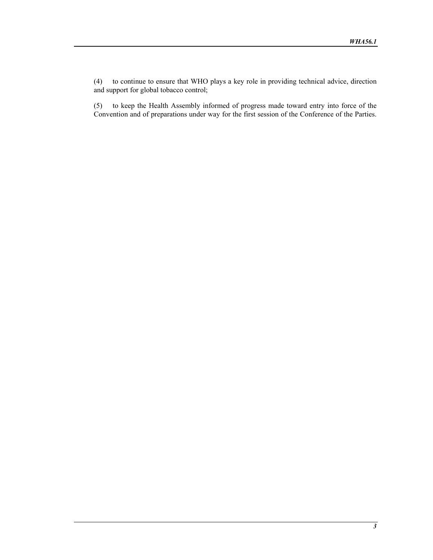(4) to continue to ensure that WHO plays a key role in providing technical advice, direction and support for global tobacco control;

(5) to keep the Health Assembly informed of progress made toward entry into force of the Convention and of preparations under way for the first session of the Conference of the Parties.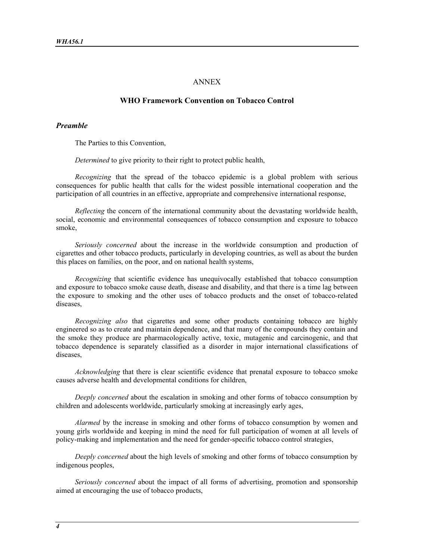#### ANNEX

#### **WHO Framework Convention on Tobacco Control**

#### *Preamble*

The Parties to this Convention,

*Determined* to give priority to their right to protect public health,

*Recognizing* that the spread of the tobacco epidemic is a global problem with serious consequences for public health that calls for the widest possible international cooperation and the participation of all countries in an effective, appropriate and comprehensive international response,

*Reflecting* the concern of the international community about the devastating worldwide health, social, economic and environmental consequences of tobacco consumption and exposure to tobacco smoke,

*Seriously concerned* about the increase in the worldwide consumption and production of cigarettes and other tobacco products, particularly in developing countries, as well as about the burden this places on families, on the poor, and on national health systems,

*Recognizing* that scientific evidence has unequivocally established that tobacco consumption and exposure to tobacco smoke cause death, disease and disability, and that there is a time lag between the exposure to smoking and the other uses of tobacco products and the onset of tobacco-related diseases,

*Recognizing also* that cigarettes and some other products containing tobacco are highly engineered so as to create and maintain dependence, and that many of the compounds they contain and the smoke they produce are pharmacologically active, toxic, mutagenic and carcinogenic, and that tobacco dependence is separately classified as a disorder in major international classifications of diseases,

*Acknowledging* that there is clear scientific evidence that prenatal exposure to tobacco smoke causes adverse health and developmental conditions for children,

*Deeply concerned* about the escalation in smoking and other forms of tobacco consumption by children and adolescents worldwide, particularly smoking at increasingly early ages,

*Alarmed* by the increase in smoking and other forms of tobacco consumption by women and young girls worldwide and keeping in mind the need for full participation of women at all levels of policy-making and implementation and the need for gender-specific tobacco control strategies,

*Deeply concerned* about the high levels of smoking and other forms of tobacco consumption by indigenous peoples,

*Seriously concerned* about the impact of all forms of advertising, promotion and sponsorship aimed at encouraging the use of tobacco products,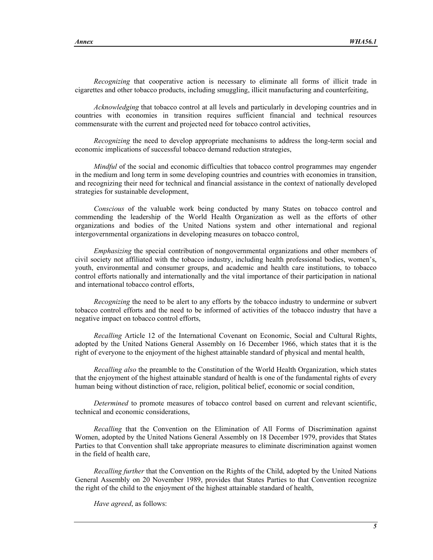*Recognizing* that cooperative action is necessary to eliminate all forms of illicit trade in cigarettes and other tobacco products, including smuggling, illicit manufacturing and counterfeiting,

*Acknowledging* that tobacco control at all levels and particularly in developing countries and in countries with economies in transition requires sufficient financial and technical resources commensurate with the current and projected need for tobacco control activities,

*Recognizing* the need to develop appropriate mechanisms to address the long-term social and economic implications of successful tobacco demand reduction strategies,

*Mindful* of the social and economic difficulties that tobacco control programmes may engender in the medium and long term in some developing countries and countries with economies in transition, and recognizing their need for technical and financial assistance in the context of nationally developed strategies for sustainable development,

*Conscious* of the valuable work being conducted by many States on tobacco control and commending the leadership of the World Health Organization as well as the efforts of other organizations and bodies of the United Nations system and other international and regional intergovernmental organizations in developing measures on tobacco control,

*Emphasizing* the special contribution of nongovernmental organizations and other members of civil society not affiliated with the tobacco industry, including health professional bodies, women's, youth, environmental and consumer groups, and academic and health care institutions, to tobacco control efforts nationally and internationally and the vital importance of their participation in national and international tobacco control efforts,

*Recognizing* the need to be alert to any efforts by the tobacco industry to undermine or subvert tobacco control efforts and the need to be informed of activities of the tobacco industry that have a negative impact on tobacco control efforts,

*Recalling* Article 12 of the International Covenant on Economic, Social and Cultural Rights, adopted by the United Nations General Assembly on 16 December 1966, which states that it is the right of everyone to the enjoyment of the highest attainable standard of physical and mental health,

*Recalling also* the preamble to the Constitution of the World Health Organization, which states that the enjoyment of the highest attainable standard of health is one of the fundamental rights of every human being without distinction of race, religion, political belief, economic or social condition,

*Determined* to promote measures of tobacco control based on current and relevant scientific, technical and economic considerations,

*Recalling* that the Convention on the Elimination of All Forms of Discrimination against Women, adopted by the United Nations General Assembly on 18 December 1979, provides that States Parties to that Convention shall take appropriate measures to eliminate discrimination against women in the field of health care,

*Recalling further* that the Convention on the Rights of the Child, adopted by the United Nations General Assembly on 20 November 1989, provides that States Parties to that Convention recognize the right of the child to the enjoyment of the highest attainable standard of health,

*Have agreed*, as follows: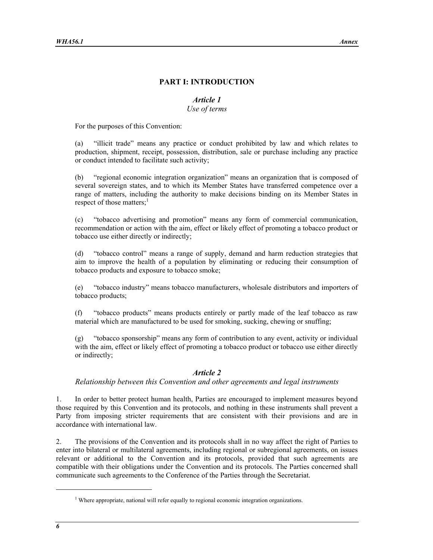# **PART I: INTRODUCTION**

### *Article 1*

### *Use of terms*

For the purposes of this Convention:

(a) "illicit trade" means any practice or conduct prohibited by law and which relates to production, shipment, receipt, possession, distribution, sale or purchase including any practice or conduct intended to facilitate such activity;

(b) "regional economic integration organization" means an organization that is composed of several sovereign states, and to which its Member States have transferred competence over a range of matters, including the authority to make decisions binding on its Member States in respect of those matters; $<sup>1</sup>$ </sup>

(c) "tobacco advertising and promotion" means any form of commercial communication, recommendation or action with the aim, effect or likely effect of promoting a tobacco product or tobacco use either directly or indirectly;

(d) "tobacco control" means a range of supply, demand and harm reduction strategies that aim to improve the health of a population by eliminating or reducing their consumption of tobacco products and exposure to tobacco smoke;

(e) "tobacco industry" means tobacco manufacturers, wholesale distributors and importers of tobacco products;

(f) "tobacco products" means products entirely or partly made of the leaf tobacco as raw material which are manufactured to be used for smoking, sucking, chewing or snuffing;

(g) "tobacco sponsorship" means any form of contribution to any event, activity or individual with the aim, effect or likely effect of promoting a tobacco product or tobacco use either directly or indirectly;

### *Article 2*

### *Relationship between this Convention and other agreements and legal instruments*

1. In order to better protect human health, Parties are encouraged to implement measures beyond those required by this Convention and its protocols, and nothing in these instruments shall prevent a Party from imposing stricter requirements that are consistent with their provisions and are in accordance with international law.

2. The provisions of the Convention and its protocols shall in no way affect the right of Parties to enter into bilateral or multilateral agreements, including regional or subregional agreements, on issues relevant or additional to the Convention and its protocols, provided that such agreements are compatible with their obligations under the Convention and its protocols. The Parties concerned shall communicate such agreements to the Conference of the Parties through the Secretariat.

 $\overline{a}$ 

<sup>&</sup>lt;sup>1</sup> Where appropriate, national will refer equally to regional economic integration organizations.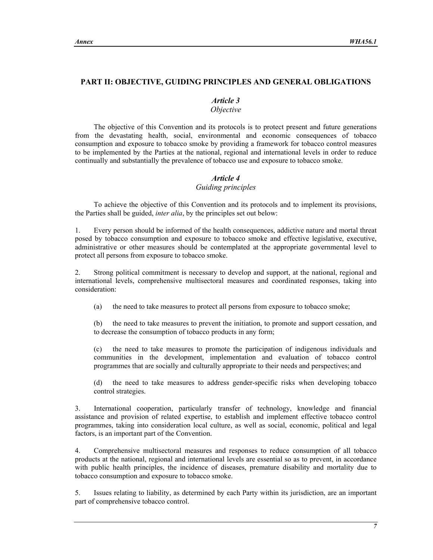#### **PART II: OBJECTIVE, GUIDING PRINCIPLES AND GENERAL OBLIGATIONS**

# *Article 3*

# *Objective*

The objective of this Convention and its protocols is to protect present and future generations from the devastating health, social, environmental and economic consequences of tobacco consumption and exposure to tobacco smoke by providing a framework for tobacco control measures to be implemented by the Parties at the national, regional and international levels in order to reduce continually and substantially the prevalence of tobacco use and exposure to tobacco smoke.

### *Article 4*

### *Guiding principles*

To achieve the objective of this Convention and its protocols and to implement its provisions, the Parties shall be guided, *inter alia*, by the principles set out below:

1. Every person should be informed of the health consequences, addictive nature and mortal threat posed by tobacco consumption and exposure to tobacco smoke and effective legislative, executive, administrative or other measures should be contemplated at the appropriate governmental level to protect all persons from exposure to tobacco smoke.

2. Strong political commitment is necessary to develop and support, at the national, regional and international levels, comprehensive multisectoral measures and coordinated responses, taking into consideration:

(a) the need to take measures to protect all persons from exposure to tobacco smoke;

(b) the need to take measures to prevent the initiation, to promote and support cessation, and to decrease the consumption of tobacco products in any form;

(c) the need to take measures to promote the participation of indigenous individuals and communities in the development, implementation and evaluation of tobacco control programmes that are socially and culturally appropriate to their needs and perspectives; and

(d) the need to take measures to address gender-specific risks when developing tobacco control strategies.

3. International cooperation, particularly transfer of technology, knowledge and financial assistance and provision of related expertise, to establish and implement effective tobacco control programmes, taking into consideration local culture, as well as social, economic, political and legal factors, is an important part of the Convention.

4. Comprehensive multisectoral measures and responses to reduce consumption of all tobacco products at the national, regional and international levels are essential so as to prevent, in accordance with public health principles, the incidence of diseases, premature disability and mortality due to tobacco consumption and exposure to tobacco smoke.

5. Issues relating to liability, as determined by each Party within its jurisdiction, are an important part of comprehensive tobacco control.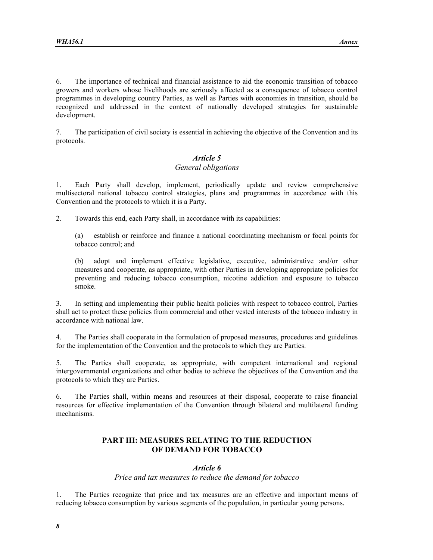6. The importance of technical and financial assistance to aid the economic transition of tobacco growers and workers whose livelihoods are seriously affected as a consequence of tobacco control programmes in developing country Parties, as well as Parties with economies in transition, should be recognized and addressed in the context of nationally developed strategies for sustainable development.

7. The participation of civil society is essential in achieving the objective of the Convention and its protocols.

### *Article 5*

#### *General obligations*

1. Each Party shall develop, implement, periodically update and review comprehensive multisectoral national tobacco control strategies, plans and programmes in accordance with this Convention and the protocols to which it is a Party.

2. Towards this end, each Party shall, in accordance with its capabilities:

(a) establish or reinforce and finance a national coordinating mechanism or focal points for tobacco control; and

(b) adopt and implement effective legislative, executive, administrative and/or other measures and cooperate, as appropriate, with other Parties in developing appropriate policies for preventing and reducing tobacco consumption, nicotine addiction and exposure to tobacco smoke.

3. In setting and implementing their public health policies with respect to tobacco control, Parties shall act to protect these policies from commercial and other vested interests of the tobacco industry in accordance with national law.

4. The Parties shall cooperate in the formulation of proposed measures, procedures and guidelines for the implementation of the Convention and the protocols to which they are Parties.

5. The Parties shall cooperate, as appropriate, with competent international and regional intergovernmental organizations and other bodies to achieve the objectives of the Convention and the protocols to which they are Parties.

6. The Parties shall, within means and resources at their disposal, cooperate to raise financial resources for effective implementation of the Convention through bilateral and multilateral funding mechanisms.

### **PART III: MEASURES RELATING TO THE REDUCTION OF DEMAND FOR TOBACCO**

### *Article 6*

### *Price and tax measures to reduce the demand for tobacco*

1. The Parties recognize that price and tax measures are an effective and important means of reducing tobacco consumption by various segments of the population, in particular young persons.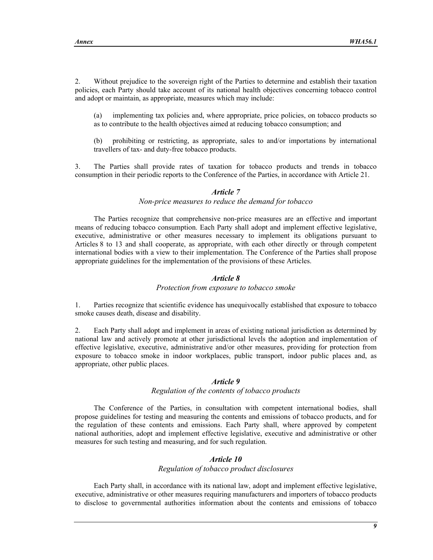2. Without prejudice to the sovereign right of the Parties to determine and establish their taxation policies, each Party should take account of its national health objectives concerning tobacco control and adopt or maintain, as appropriate, measures which may include:

(a) implementing tax policies and, where appropriate, price policies, on tobacco products so as to contribute to the health objectives aimed at reducing tobacco consumption; and

(b) prohibiting or restricting, as appropriate, sales to and/or importations by international travellers of tax- and duty-free tobacco products.

3. The Parties shall provide rates of taxation for tobacco products and trends in tobacco consumption in their periodic reports to the Conference of the Parties, in accordance with Article 21.

#### *Article 7*

#### *Non-price measures to reduce the demand for tobacco*

The Parties recognize that comprehensive non-price measures are an effective and important means of reducing tobacco consumption. Each Party shall adopt and implement effective legislative, executive, administrative or other measures necessary to implement its obligations pursuant to Articles 8 to 13 and shall cooperate, as appropriate, with each other directly or through competent international bodies with a view to their implementation. The Conference of the Parties shall propose appropriate guidelines for the implementation of the provisions of these Articles.

#### *Article 8*

#### *Protection from exposure to tobacco smoke*

1. Parties recognize that scientific evidence has unequivocally established that exposure to tobacco smoke causes death, disease and disability.

2. Each Party shall adopt and implement in areas of existing national jurisdiction as determined by national law and actively promote at other jurisdictional levels the adoption and implementation of effective legislative, executive, administrative and/or other measures, providing for protection from exposure to tobacco smoke in indoor workplaces, public transport, indoor public places and, as appropriate, other public places.

# *Article 9*

#### *Regulation of the contents of tobacco products*

The Conference of the Parties, in consultation with competent international bodies, shall propose guidelines for testing and measuring the contents and emissions of tobacco products, and for the regulation of these contents and emissions. Each Party shall, where approved by competent national authorities, adopt and implement effective legislative, executive and administrative or other measures for such testing and measuring, and for such regulation.

#### *Article 10*

#### *Regulation of tobacco product disclosures*

Each Party shall, in accordance with its national law, adopt and implement effective legislative, executive, administrative or other measures requiring manufacturers and importers of tobacco products to disclose to governmental authorities information about the contents and emissions of tobacco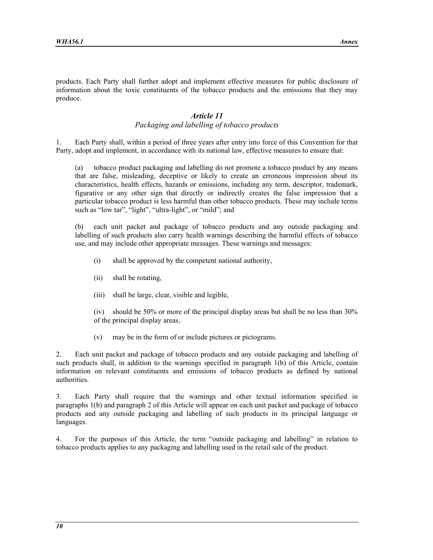products. Each Party shall further adopt and implement effective measures for public disclosure of information about the toxic constituents of the tobacco products and the emissions that they may produce.

#### *Article 11*

### *Packaging and labelling of tobacco products*

1. Each Party shall, within a period of three years after entry into force of this Convention for that Party, adopt and implement, in accordance with its national law, effective measures to ensure that:

(a) tobacco product packaging and labelling do not promote a tobacco product by any means that are false, misleading, deceptive or likely to create an erroneous impression about its characteristics, health effects, hazards or emissions, including any term, descriptor, trademark, figurative or any other sign that directly or indirectly creates the false impression that a particular tobacco product is less harmful than other tobacco products. These may include terms such as "low tar", "light", "ultra-light", or "mild"; and

(b) each unit packet and package of tobacco products and any outside packaging and labelling of such products also carry health warnings describing the harmful effects of tobacco use, and may include other appropriate messages. These warnings and messages:

- (i) shall be approved by the competent national authority,
- (ii) shall be rotating,
- (iii) shall be large, clear, visible and legible,

(iv) should be 50% or more of the principal display areas but shall be no less than 30% of the principal display areas,

(v) may be in the form of or include pictures or pictograms.

2. Each unit packet and package of tobacco products and any outside packaging and labelling of such products shall, in addition to the warnings specified in paragraph 1(b) of this Article, contain information on relevant constituents and emissions of tobacco products as defined by national authorities.

3. Each Party shall require that the warnings and other textual information specified in paragraphs 1(b) and paragraph 2 of this Article will appear on each unit packet and package of tobacco products and any outside packaging and labelling of such products in its principal language or languages.

4. For the purposes of this Article, the term "outside packaging and labelling" in relation to tobacco products applies to any packaging and labelling used in the retail sale of the product.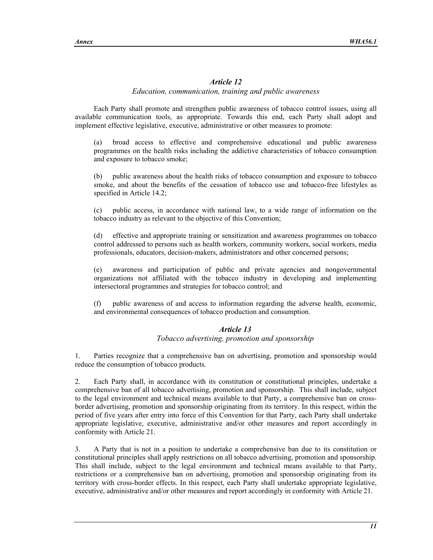### *Article 12*

### *Education, communication, training and public awareness*

Each Party shall promote and strengthen public awareness of tobacco control issues, using all available communication tools, as appropriate. Towards this end, each Party shall adopt and implement effective legislative, executive, administrative or other measures to promote:

(a) broad access to effective and comprehensive educational and public awareness programmes on the health risks including the addictive characteristics of tobacco consumption and exposure to tobacco smoke;

(b) public awareness about the health risks of tobacco consumption and exposure to tobacco smoke, and about the benefits of the cessation of tobacco use and tobacco-free lifestyles as specified in Article 14.2;

(c) public access, in accordance with national law, to a wide range of information on the tobacco industry as relevant to the objective of this Convention;

(d) effective and appropriate training or sensitization and awareness programmes on tobacco control addressed to persons such as health workers, community workers, social workers, media professionals, educators, decision-makers, administrators and other concerned persons;

(e) awareness and participation of public and private agencies and nongovernmental organizations not affiliated with the tobacco industry in developing and implementing intersectoral programmes and strategies for tobacco control; and

(f) public awareness of and access to information regarding the adverse health, economic, and environmental consequences of tobacco production and consumption.

#### *Article 13*

### *Tobacco advertising, promotion and sponsorship*

1. Parties recognize that a comprehensive ban on advertising, promotion and sponsorship would reduce the consumption of tobacco products*.*

2. Each Party shall, in accordance with its constitution or constitutional principles, undertake a comprehensive ban of all tobacco advertising, promotion and sponsorship. This shall include, subject to the legal environment and technical means available to that Party, a comprehensive ban on crossborder advertising, promotion and sponsorship originating from its territory. In this respect, within the period of five years after entry into force of this Convention for that Party, each Party shall undertake appropriate legislative, executive, administrative and/or other measures and report accordingly in conformity with Article 21.

3. A Party that is not in a position to undertake a comprehensive ban due to its constitution or constitutional principles shall apply restrictions on all tobacco advertising, promotion and sponsorship. This shall include, subject to the legal environment and technical means available to that Party, restrictions or a comprehensive ban on advertising, promotion and sponsorship originating from its territory with cross-border effects. In this respect, each Party shall undertake appropriate legislative, executive, administrative and/or other measures and report accordingly in conformity with Article 21.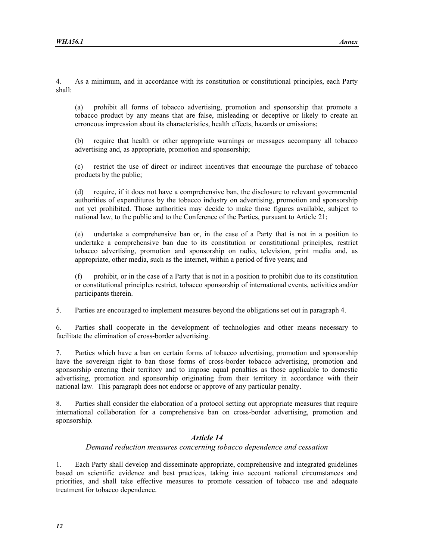4. As a minimum, and in accordance with its constitution or constitutional principles, each Party shall:

(a) prohibit all forms of tobacco advertising, promotion and sponsorship that promote a tobacco product by any means that are false, misleading or deceptive or likely to create an erroneous impression about its characteristics, health effects, hazards or emissions;

(b) require that health or other appropriate warnings or messages accompany all tobacco advertising and, as appropriate, promotion and sponsorship;

(c) restrict the use of direct or indirect incentives that encourage the purchase of tobacco products by the public;

(d) require, if it does not have a comprehensive ban, the disclosure to relevant governmental authorities of expenditures by the tobacco industry on advertising, promotion and sponsorship not yet prohibited. Those authorities may decide to make those figures available, subject to national law, to the public and to the Conference of the Parties, pursuant to Article 21;

(e) undertake a comprehensive ban or, in the case of a Party that is not in a position to undertake a comprehensive ban due to its constitution or constitutional principles, restrict tobacco advertising, promotion and sponsorship on radio, television, print media and, as appropriate, other media, such as the internet, within a period of five years; and

(f) prohibit, or in the case of a Party that is not in a position to prohibit due to its constitution or constitutional principles restrict, tobacco sponsorship of international events, activities and/or participants therein.

5. Parties are encouraged to implement measures beyond the obligations set out in paragraph 4.

6. Parties shall cooperate in the development of technologies and other means necessary to facilitate the elimination of cross-border advertising.

7. Parties which have a ban on certain forms of tobacco advertising, promotion and sponsorship have the sovereign right to ban those forms of cross-border tobacco advertising, promotion and sponsorship entering their territory and to impose equal penalties as those applicable to domestic advertising, promotion and sponsorship originating from their territory in accordance with their national law. This paragraph does not endorse or approve of any particular penalty.

8. Parties shall consider the elaboration of a protocol setting out appropriate measures that require international collaboration for a comprehensive ban on cross-border advertising, promotion and sponsorship.

### *Article 14*

#### *Demand reduction measures concerning tobacco dependence and cessation*

1. Each Party shall develop and disseminate appropriate, comprehensive and integrated guidelines based on scientific evidence and best practices, taking into account national circumstances and priorities, and shall take effective measures to promote cessation of tobacco use and adequate treatment for tobacco dependence.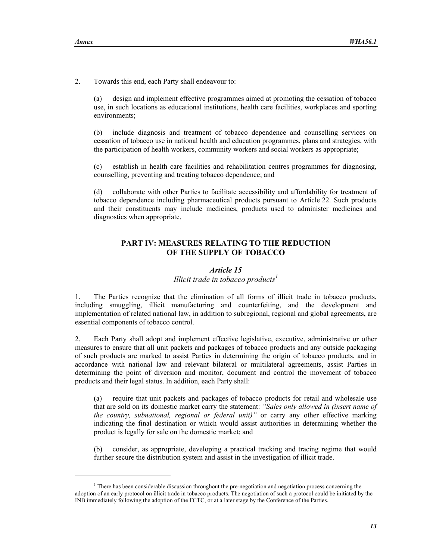$\overline{a}$ 

2. Towards this end, each Party shall endeavour to:

(a) design and implement effective programmes aimed at promoting the cessation of tobacco use, in such locations as educational institutions, health care facilities, workplaces and sporting environments;

(b) include diagnosis and treatment of tobacco dependence and counselling services on cessation of tobacco use in national health and education programmes, plans and strategies, with the participation of health workers, community workers and social workers as appropriate;

(c) establish in health care facilities and rehabilitation centres programmes for diagnosing, counselling, preventing and treating tobacco dependence; and

(d) collaborate with other Parties to facilitate accessibility and affordability for treatment of tobacco dependence including pharmaceutical products pursuant to Article 22. Such products and their constituents may include medicines, products used to administer medicines and diagnostics when appropriate.

### **PART IV: MEASURES RELATING TO THE REDUCTION OF THE SUPPLY OF TOBACCO**

#### *Article 15*

*Illicit trade in tobacco products<sup>1</sup>*

1. The Parties recognize that the elimination of all forms of illicit trade in tobacco products, including smuggling, illicit manufacturing and counterfeiting, and the development and implementation of related national law, in addition to subregional, regional and global agreements, are essential components of tobacco control.

2. Each Party shall adopt and implement effective legislative, executive, administrative or other measures to ensure that all unit packets and packages of tobacco products and any outside packaging of such products are marked to assist Parties in determining the origin of tobacco products, and in accordance with national law and relevant bilateral or multilateral agreements, assist Parties in determining the point of diversion and monitor, document and control the movement of tobacco products and their legal status. In addition, each Party shall:

(a) require that unit packets and packages of tobacco products for retail and wholesale use that are sold on its domestic market carry the statement: *"Sales only allowed in (insert name of the country, subnational, regional or federal unit)"* or carry any other effective marking indicating the final destination or which would assist authorities in determining whether the product is legally for sale on the domestic market; and

(b) consider, as appropriate, developing a practical tracking and tracing regime that would further secure the distribution system and assist in the investigation of illicit trade.

<sup>&</sup>lt;sup>1</sup> There has been considerable discussion throughout the pre-negotiation and negotiation process concerning the adoption of an early protocol on illicit trade in tobacco products. The negotiation of such a protocol could be initiated by the INB immediately following the adoption of the FCTC, or at a later stage by the Conference of the Parties.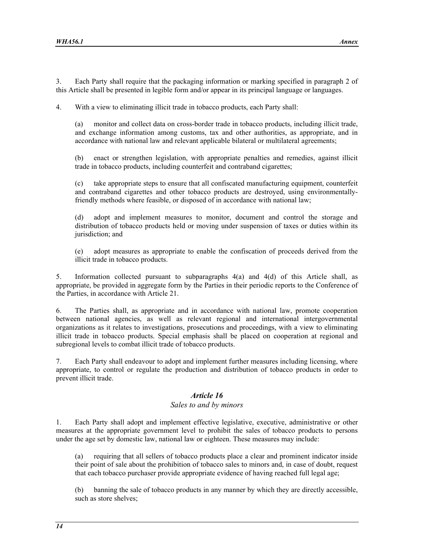3. Each Party shall require that the packaging information or marking specified in paragraph 2 of this Article shall be presented in legible form and/or appear in its principal language or languages.

4. With a view to eliminating illicit trade in tobacco products, each Party shall:

(a) monitor and collect data on cross-border trade in tobacco products, including illicit trade, and exchange information among customs, tax and other authorities, as appropriate, and in accordance with national law and relevant applicable bilateral or multilateral agreements;

(b) enact or strengthen legislation, with appropriate penalties and remedies, against illicit trade in tobacco products, including counterfeit and contraband cigarettes;

(c) take appropriate steps to ensure that all confiscated manufacturing equipment, counterfeit and contraband cigarettes and other tobacco products are destroyed, using environmentallyfriendly methods where feasible, or disposed of in accordance with national law;

(d) adopt and implement measures to monitor, document and control the storage and distribution of tobacco products held or moving under suspension of taxes or duties within its jurisdiction; and

(e) adopt measures as appropriate to enable the confiscation of proceeds derived from the illicit trade in tobacco products.

5. Information collected pursuant to subparagraphs 4(a) and 4(d) of this Article shall, as appropriate, be provided in aggregate form by the Parties in their periodic reports to the Conference of the Parties, in accordance with Article 21.

6. The Parties shall, as appropriate and in accordance with national law, promote cooperation between national agencies, as well as relevant regional and international intergovernmental organizations as it relates to investigations, prosecutions and proceedings, with a view to eliminating illicit trade in tobacco products. Special emphasis shall be placed on cooperation at regional and subregional levels to combat illicit trade of tobacco products.

7. Each Party shall endeavour to adopt and implement further measures including licensing, where appropriate, to control or regulate the production and distribution of tobacco products in order to prevent illicit trade.

#### *Article 16*

#### *Sales to and by minors*

1. Each Party shall adopt and implement effective legislative, executive, administrative or other measures at the appropriate government level to prohibit the sales of tobacco products to persons under the age set by domestic law, national law or eighteen. These measures may include:

(a) requiring that all sellers of tobacco products place a clear and prominent indicator inside their point of sale about the prohibition of tobacco sales to minors and, in case of doubt, request that each tobacco purchaser provide appropriate evidence of having reached full legal age;

(b) banning the sale of tobacco products in any manner by which they are directly accessible, such as store shelves;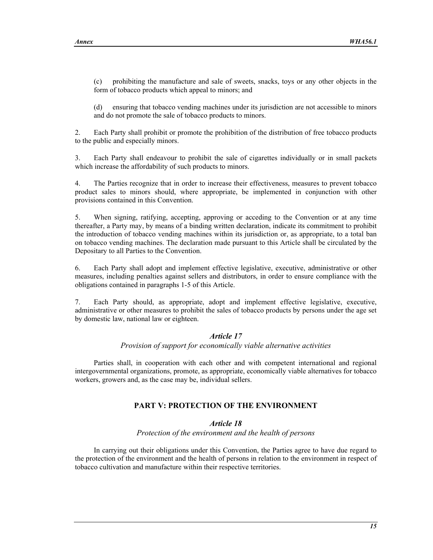(c) prohibiting the manufacture and sale of sweets, snacks, toys or any other objects in the form of tobacco products which appeal to minors; and

(d) ensuring that tobacco vending machines under its jurisdiction are not accessible to minors and do not promote the sale of tobacco products to minors.

2. Each Party shall prohibit or promote the prohibition of the distribution of free tobacco products to the public and especially minors.

3. Each Party shall endeavour to prohibit the sale of cigarettes individually or in small packets which increase the affordability of such products to minors.

4. The Parties recognize that in order to increase their effectiveness, measures to prevent tobacco product sales to minors should, where appropriate, be implemented in conjunction with other provisions contained in this Convention.

5. When signing, ratifying, accepting, approving or acceding to the Convention or at any time thereafter, a Party may, by means of a binding written declaration, indicate its commitment to prohibit the introduction of tobacco vending machines within its jurisdiction or, as appropriate, to a total ban on tobacco vending machines. The declaration made pursuant to this Article shall be circulated by the Depositary to all Parties to the Convention.

6. Each Party shall adopt and implement effective legislative, executive, administrative or other measures, including penalties against sellers and distributors, in order to ensure compliance with the obligations contained in paragraphs 1-5 of this Article.

7. Each Party should, as appropriate, adopt and implement effective legislative, executive, administrative or other measures to prohibit the sales of tobacco products by persons under the age set by domestic law, national law or eighteen.

#### *Article 17*

#### *Provision of support for economically viable alternative activities*

Parties shall, in cooperation with each other and with competent international and regional intergovernmental organizations, promote, as appropriate, economically viable alternatives for tobacco workers, growers and, as the case may be, individual sellers.

### **PART V: PROTECTION OF THE ENVIRONMENT**

#### *Article 18*

*Protection of the environment and the health of persons* 

In carrying out their obligations under this Convention, the Parties agree to have due regard to the protection of the environment and the health of persons in relation to the environment in respect of tobacco cultivation and manufacture within their respective territories.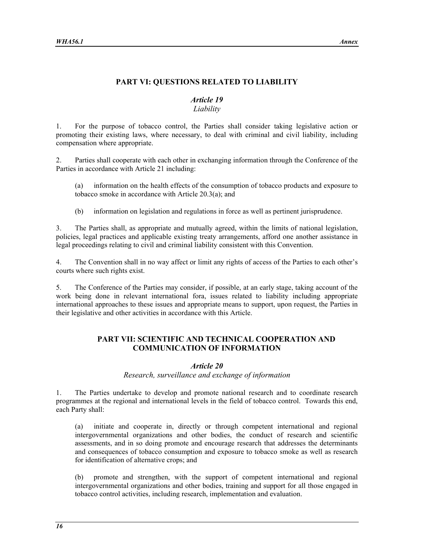### **PART VI: QUESTIONS RELATED TO LIABILITY**

### *Article 19*

### *Liability*

1. For the purpose of tobacco control, the Parties shall consider taking legislative action or promoting their existing laws, where necessary, to deal with criminal and civil liability, including compensation where appropriate.

2. Parties shall cooperate with each other in exchanging information through the Conference of the Parties in accordance with Article 21 including:

(a) information on the health effects of the consumption of tobacco products and exposure to tobacco smoke in accordance with Article 20.3(a); and

(b) information on legislation and regulations in force as well as pertinent jurisprudence.

3. The Parties shall, as appropriate and mutually agreed, within the limits of national legislation, policies, legal practices and applicable existing treaty arrangements, afford one another assistance in legal proceedings relating to civil and criminal liability consistent with this Convention.

4. The Convention shall in no way affect or limit any rights of access of the Parties to each other's courts where such rights exist.

5. The Conference of the Parties may consider, if possible, at an early stage, taking account of the work being done in relevant international fora, issues related to liability including appropriate international approaches to these issues and appropriate means to support, upon request, the Parties in their legislative and other activities in accordance with this Article.

### **PART VII: SCIENTIFIC AND TECHNICAL COOPERATION AND COMMUNICATION OF INFORMATION**

### *Article 20*

*Research, surveillance and exchange of information* 

1. The Parties undertake to develop and promote national research and to coordinate research programmes at the regional and international levels in the field of tobacco control. Towards this end, each Party shall:

(a) initiate and cooperate in, directly or through competent international and regional intergovernmental organizations and other bodies, the conduct of research and scientific assessments, and in so doing promote and encourage research that addresses the determinants and consequences of tobacco consumption and exposure to tobacco smoke as well as research for identification of alternative crops; and

(b) promote and strengthen, with the support of competent international and regional intergovernmental organizations and other bodies, training and support for all those engaged in tobacco control activities, including research, implementation and evaluation.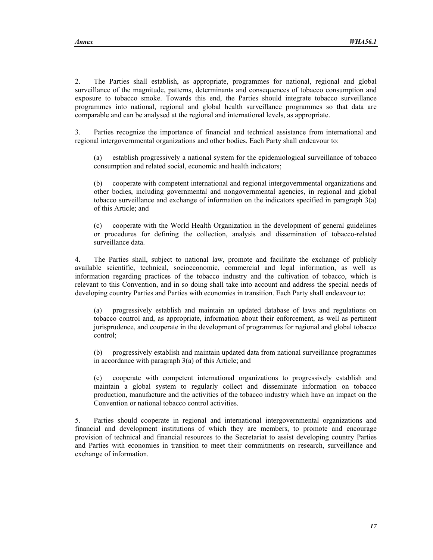2. The Parties shall establish, as appropriate, programmes for national, regional and global surveillance of the magnitude, patterns, determinants and consequences of tobacco consumption and exposure to tobacco smoke. Towards this end, the Parties should integrate tobacco surveillance programmes into national, regional and global health surveillance programmes so that data are comparable and can be analysed at the regional and international levels, as appropriate.

3. Parties recognize the importance of financial and technical assistance from international and regional intergovernmental organizations and other bodies. Each Party shall endeavour to:

(a) establish progressively a national system for the epidemiological surveillance of tobacco consumption and related social, economic and health indicators;

(b) cooperate with competent international and regional intergovernmental organizations and other bodies, including governmental and nongovernmental agencies, in regional and global tobacco surveillance and exchange of information on the indicators specified in paragraph 3(a) of this Article; and

(c) cooperate with the World Health Organization in the development of general guidelines or procedures for defining the collection, analysis and dissemination of tobacco-related surveillance data.

4. The Parties shall, subject to national law, promote and facilitate the exchange of publicly available scientific, technical, socioeconomic, commercial and legal information, as well as information regarding practices of the tobacco industry and the cultivation of tobacco, which is relevant to this Convention, and in so doing shall take into account and address the special needs of developing country Parties and Parties with economies in transition. Each Party shall endeavour to:

(a) progressively establish and maintain an updated database of laws and regulations on tobacco control and, as appropriate, information about their enforcement, as well as pertinent jurisprudence, and cooperate in the development of programmes for regional and global tobacco control;

(b) progressively establish and maintain updated data from national surveillance programmes in accordance with paragraph 3(a) of this Article; and

(c) cooperate with competent international organizations to progressively establish and maintain a global system to regularly collect and disseminate information on tobacco production, manufacture and the activities of the tobacco industry which have an impact on the Convention or national tobacco control activities.

5. Parties should cooperate in regional and international intergovernmental organizations and financial and development institutions of which they are members, to promote and encourage provision of technical and financial resources to the Secretariat to assist developing country Parties and Parties with economies in transition to meet their commitments on research, surveillance and exchange of information.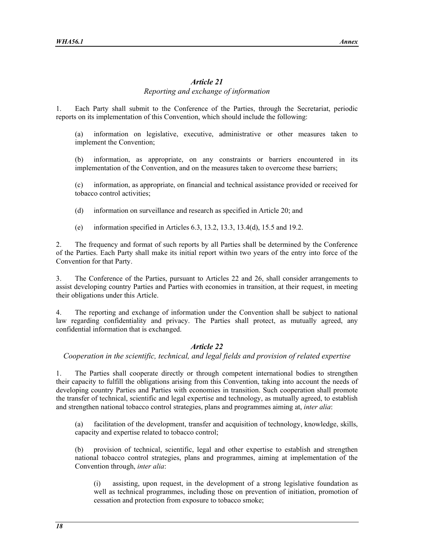# *Article 21 Reporting and exchange of information*

1. Each Party shall submit to the Conference of the Parties, through the Secretariat, periodic reports on its implementation of this Convention, which should include the following:

(a) information on legislative, executive, administrative or other measures taken to implement the Convention;

(b) information, as appropriate, on any constraints or barriers encountered in its implementation of the Convention, and on the measures taken to overcome these barriers;

(c) information, as appropriate, on financial and technical assistance provided or received for tobacco control activities;

(d) information on surveillance and research as specified in Article 20; and

(e) information specified in Articles 6.3, 13.2, 13.3, 13.4(d), 15.5 and 19.2.

2. The frequency and format of such reports by all Parties shall be determined by the Conference of the Parties. Each Party shall make its initial report within two years of the entry into force of the Convention for that Party.

3. The Conference of the Parties, pursuant to Articles 22 and 26, shall consider arrangements to assist developing country Parties and Parties with economies in transition, at their request, in meeting their obligations under this Article.

4. The reporting and exchange of information under the Convention shall be subject to national law regarding confidentiality and privacy. The Parties shall protect, as mutually agreed, any confidential information that is exchanged.

### *Article 22*

#### *Cooperation in the scientific, technical, and legal fields and provision of related expertise*

1. The Parties shall cooperate directly or through competent international bodies to strengthen their capacity to fulfill the obligations arising from this Convention, taking into account the needs of developing country Parties and Parties with economies in transition. Such cooperation shall promote the transfer of technical, scientific and legal expertise and technology, as mutually agreed, to establish and strengthen national tobacco control strategies, plans and programmes aiming at, *inter alia*:

(a) facilitation of the development, transfer and acquisition of technology, knowledge, skills, capacity and expertise related to tobacco control;

(b) provision of technical, scientific, legal and other expertise to establish and strengthen national tobacco control strategies, plans and programmes, aiming at implementation of the Convention through, *inter alia*:

(i) assisting, upon request, in the development of a strong legislative foundation as well as technical programmes, including those on prevention of initiation, promotion of cessation and protection from exposure to tobacco smoke;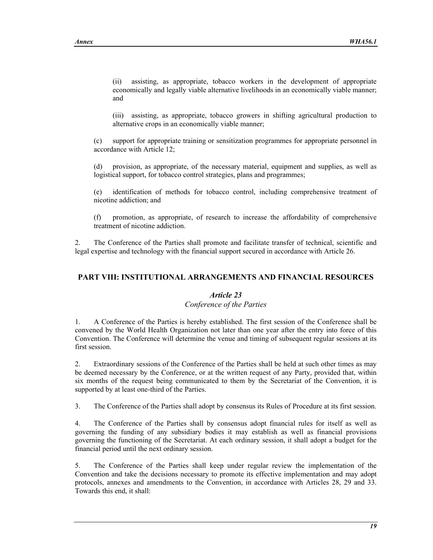(ii) assisting, as appropriate, tobacco workers in the development of appropriate economically and legally viable alternative livelihoods in an economically viable manner; and

(iii) assisting, as appropriate, tobacco growers in shifting agricultural production to alternative crops in an economically viable manner;

(c) support for appropriate training or sensitization programmes for appropriate personnel in accordance with Article 12;

(d) provision, as appropriate, of the necessary material, equipment and supplies, as well as logistical support, for tobacco control strategies, plans and programmes;

(e) identification of methods for tobacco control, including comprehensive treatment of nicotine addiction; and

(f) promotion, as appropriate, of research to increase the affordability of comprehensive treatment of nicotine addiction.

2. The Conference of the Parties shall promote and facilitate transfer of technical, scientific and legal expertise and technology with the financial support secured in accordance with Article 26.

### **PART VIII: INSTITUTIONAL ARRANGEMENTS AND FINANCIAL RESOURCES**

### *Article 23*

#### *Conference of the Parties*

1. A Conference of the Parties is hereby established. The first session of the Conference shall be convened by the World Health Organization not later than one year after the entry into force of this Convention. The Conference will determine the venue and timing of subsequent regular sessions at its first session.

2. Extraordinary sessions of the Conference of the Parties shall be held at such other times as may be deemed necessary by the Conference, or at the written request of any Party, provided that, within six months of the request being communicated to them by the Secretariat of the Convention, it is supported by at least one-third of the Parties.

3. The Conference of the Parties shall adopt by consensus its Rules of Procedure at its first session.

4. The Conference of the Parties shall by consensus adopt financial rules for itself as well as governing the funding of any subsidiary bodies it may establish as well as financial provisions governing the functioning of the Secretariat. At each ordinary session, it shall adopt a budget for the financial period until the next ordinary session.

5. The Conference of the Parties shall keep under regular review the implementation of the Convention and take the decisions necessary to promote its effective implementation and may adopt protocols, annexes and amendments to the Convention, in accordance with Articles 28, 29 and 33. Towards this end, it shall: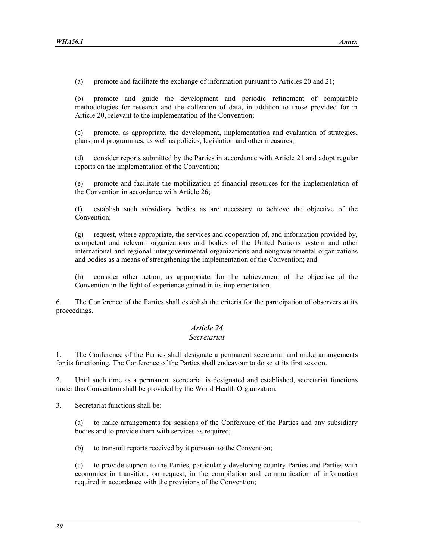(a) promote and facilitate the exchange of information pursuant to Articles 20 and 21;

(b) promote and guide the development and periodic refinement of comparable methodologies for research and the collection of data, in addition to those provided for in Article 20, relevant to the implementation of the Convention;

(c) promote, as appropriate, the development, implementation and evaluation of strategies, plans, and programmes, as well as policies, legislation and other measures;

(d) consider reports submitted by the Parties in accordance with Article 21 and adopt regular reports on the implementation of the Convention;

(e) promote and facilitate the mobilization of financial resources for the implementation of the Convention in accordance with Article 26;

(f) establish such subsidiary bodies as are necessary to achieve the objective of the Convention;

(g) request, where appropriate, the services and cooperation of, and information provided by, competent and relevant organizations and bodies of the United Nations system and other international and regional intergovernmental organizations and nongovernmental organizations and bodies as a means of strengthening the implementation of the Convention; and

(h) consider other action, as appropriate, for the achievement of the objective of the Convention in the light of experience gained in its implementation.

6. The Conference of the Parties shall establish the criteria for the participation of observers at its proceedings.

# *Article 24*

#### *Secretariat*

1. The Conference of the Parties shall designate a permanent secretariat and make arrangements for its functioning. The Conference of the Parties shall endeavour to do so at its first session.

2. Until such time as a permanent secretariat is designated and established, secretariat functions under this Convention shall be provided by the World Health Organization.

3. Secretariat functions shall be:

(a) to make arrangements for sessions of the Conference of the Parties and any subsidiary bodies and to provide them with services as required;

(b) to transmit reports received by it pursuant to the Convention;

(c) to provide support to the Parties, particularly developing country Parties and Parties with economies in transition, on request, in the compilation and communication of information required in accordance with the provisions of the Convention;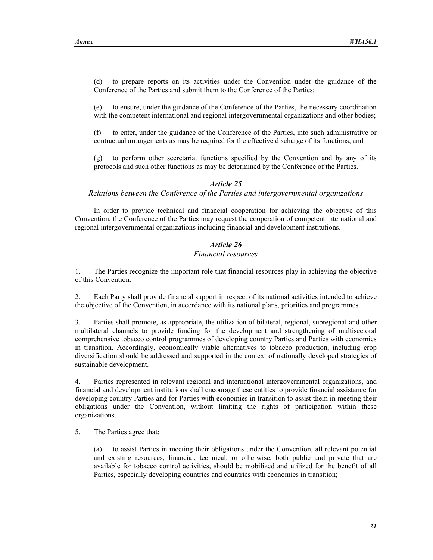(d) to prepare reports on its activities under the Convention under the guidance of the Conference of the Parties and submit them to the Conference of the Parties;

(e) to ensure, under the guidance of the Conference of the Parties, the necessary coordination with the competent international and regional intergovernmental organizations and other bodies;

(f) to enter, under the guidance of the Conference of the Parties, into such administrative or contractual arrangements as may be required for the effective discharge of its functions; and

(g) to perform other secretariat functions specified by the Convention and by any of its protocols and such other functions as may be determined by the Conference of the Parties.

# *Article 25*

*Relations between the Conference of the Parties and intergovernmental organizations*

In order to provide technical and financial cooperation for achieving the objective of this Convention, the Conference of the Parties may request the cooperation of competent international and regional intergovernmental organizations including financial and development institutions.

### *Article 26*

#### *Financial resources*

1. The Parties recognize the important role that financial resources play in achieving the objective of this Convention.

2. Each Party shall provide financial support in respect of its national activities intended to achieve the objective of the Convention, in accordance with its national plans, priorities and programmes.

3. Parties shall promote, as appropriate, the utilization of bilateral, regional, subregional and other multilateral channels to provide funding for the development and strengthening of multisectoral comprehensive tobacco control programmes of developing country Parties and Parties with economies in transition. Accordingly, economically viable alternatives to tobacco production, including crop diversification should be addressed and supported in the context of nationally developed strategies of sustainable development.

4. Parties represented in relevant regional and international intergovernmental organizations, and financial and development institutions shall encourage these entities to provide financial assistance for developing country Parties and for Parties with economies in transition to assist them in meeting their obligations under the Convention, without limiting the rights of participation within these organizations.

5. The Parties agree that:

(a) to assist Parties in meeting their obligations under the Convention, all relevant potential and existing resources, financial, technical, or otherwise, both public and private that are available for tobacco control activities, should be mobilized and utilized for the benefit of all Parties, especially developing countries and countries with economies in transition;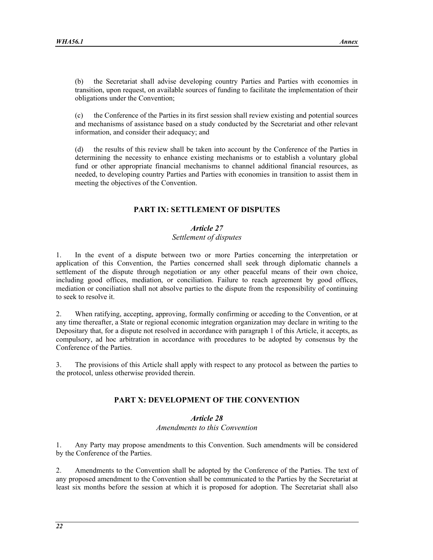(b) the Secretariat shall advise developing country Parties and Parties with economies in transition, upon request, on available sources of funding to facilitate the implementation of their obligations under the Convention;

(c) the Conference of the Parties in its first session shall review existing and potential sources and mechanisms of assistance based on a study conducted by the Secretariat and other relevant information, and consider their adequacy; and

(d) the results of this review shall be taken into account by the Conference of the Parties in determining the necessity to enhance existing mechanisms or to establish a voluntary global fund or other appropriate financial mechanisms to channel additional financial resources, as needed, to developing country Parties and Parties with economies in transition to assist them in meeting the objectives of the Convention.

### **PART IX: SETTLEMENT OF DISPUTES**

#### *Article 27*

### *Settlement of disputes*

1. In the event of a dispute between two or more Parties concerning the interpretation or application of this Convention, the Parties concerned shall seek through diplomatic channels a settlement of the dispute through negotiation or any other peaceful means of their own choice, including good offices, mediation, or conciliation. Failure to reach agreement by good offices, mediation or conciliation shall not absolve parties to the dispute from the responsibility of continuing to seek to resolve it.

2. When ratifying, accepting, approving, formally confirming or acceding to the Convention, or at any time thereafter, a State or regional economic integration organization may declare in writing to the Depositary that, for a dispute not resolved in accordance with paragraph 1 of this Article, it accepts, as compulsory, ad hoc arbitration in accordance with procedures to be adopted by consensus by the Conference of the Parties.

3. The provisions of this Article shall apply with respect to any protocol as between the parties to the protocol, unless otherwise provided therein.

#### **PART X: DEVELOPMENT OF THE CONVENTION**

#### *Article 28*

#### *Amendments to this Convention*

1. Any Party may propose amendments to this Convention. Such amendments will be considered by the Conference of the Parties.

2. Amendments to the Convention shall be adopted by the Conference of the Parties. The text of any proposed amendment to the Convention shall be communicated to the Parties by the Secretariat at least six months before the session at which it is proposed for adoption. The Secretariat shall also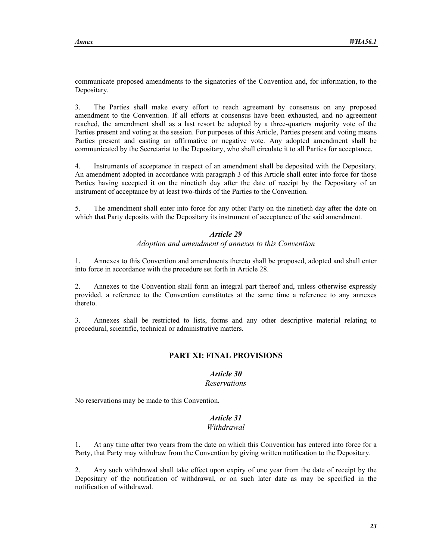communicate proposed amendments to the signatories of the Convention and, for information, to the Depositary*.*

3. The Parties shall make every effort to reach agreement by consensus on any proposed amendment to the Convention. If all efforts at consensus have been exhausted, and no agreement reached, the amendment shall as a last resort be adopted by a three-quarters majority vote of the Parties present and voting at the session. For purposes of this Article, Parties present and voting means Parties present and casting an affirmative or negative vote. Any adopted amendment shall be communicated by the Secretariat to the Depositary, who shall circulate it to all Parties for acceptance.

4. Instruments of acceptance in respect of an amendment shall be deposited with the Depositary. An amendment adopted in accordance with paragraph 3 of this Article shall enter into force for those Parties having accepted it on the ninetieth day after the date of receipt by the Depositary of an instrument of acceptance by at least two-thirds of the Parties to the Convention.

5. The amendment shall enter into force for any other Party on the ninetieth day after the date on which that Party deposits with the Depositary its instrument of acceptance of the said amendment.

# *Article 29 Adoption and amendment of annexes to this Convention*

1. Annexes to this Convention and amendments thereto shall be proposed, adopted and shall enter into force in accordance with the procedure set forth in Article 28.

2. Annexes to the Convention shall form an integral part thereof and, unless otherwise expressly provided, a reference to the Convention constitutes at the same time a reference to any annexes thereto.

3. Annexes shall be restricted to lists, forms and any other descriptive material relating to procedural, scientific, technical or administrative matters.

# **PART XI: FINAL PROVISIONS**

### *Article 30*

*Reservations* 

No reservations may be made to this Convention.

# *Article 31*

# *Withdrawal*

1. At any time after two years from the date on which this Convention has entered into force for a Party, that Party may withdraw from the Convention by giving written notification to the Depositary.

2. Any such withdrawal shall take effect upon expiry of one year from the date of receipt by the Depositary of the notification of withdrawal, or on such later date as may be specified in the notification of withdrawal.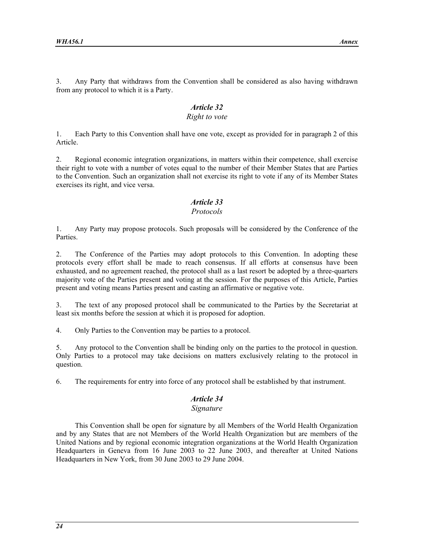3. Any Party that withdraws from the Convention shall be considered as also having withdrawn from any protocol to which it is a Party.

### *Article 32*

# *Right to vote*

1. Each Party to this Convention shall have one vote, except as provided for in paragraph 2 of this Article.

2. Regional economic integration organizations, in matters within their competence, shall exercise their right to vote with a number of votes equal to the number of their Member States that are Parties to the Convention. Such an organization shall not exercise its right to vote if any of its Member States exercises its right, and vice versa.

### *Article 33*

### *Protocols*

1. Any Party may propose protocols. Such proposals will be considered by the Conference of the Parties.

2. The Conference of the Parties may adopt protocols to this Convention. In adopting these protocols every effort shall be made to reach consensus. If all efforts at consensus have been exhausted, and no agreement reached, the protocol shall as a last resort be adopted by a three-quarters majority vote of the Parties present and voting at the session. For the purposes of this Article, Parties present and voting means Parties present and casting an affirmative or negative vote.

3. The text of any proposed protocol shall be communicated to the Parties by the Secretariat at least six months before the session at which it is proposed for adoption.

4. Only Parties to the Convention may be parties to a protocol.

5. Any protocol to the Convention shall be binding only on the parties to the protocol in question. Only Parties to a protocol may take decisions on matters exclusively relating to the protocol in question.

6. The requirements for entry into force of any protocol shall be established by that instrument.

### *Article 34*

### *Signature*

This Convention shall be open for signature by all Members of the World Health Organization and by any States that are not Members of the World Health Organization but are members of the United Nations and by regional economic integration organizations at the World Health Organization Headquarters in Geneva from 16 June 2003 to 22 June 2003, and thereafter at United Nations Headquarters in New York, from 30 June 2003 to 29 June 2004.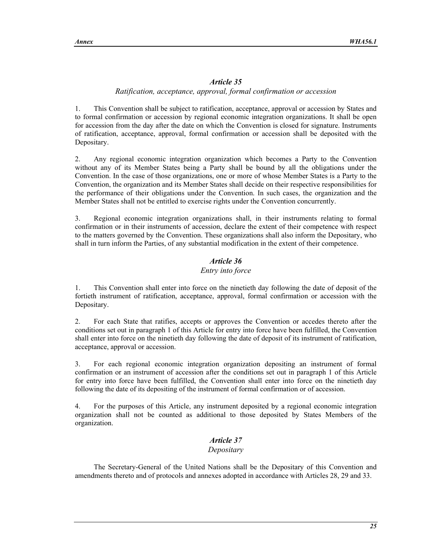### *Article 35*

### *Ratification, acceptance, approval, formal confirmation or accession*

1. This Convention shall be subject to ratification, acceptance, approval or accession by States and to formal confirmation or accession by regional economic integration organizations. It shall be open for accession from the day after the date on which the Convention is closed for signature. Instruments of ratification, acceptance, approval, formal confirmation or accession shall be deposited with the Depositary.

2. Any regional economic integration organization which becomes a Party to the Convention without any of its Member States being a Party shall be bound by all the obligations under the Convention. In the case of those organizations, one or more of whose Member States is a Party to the Convention, the organization and its Member States shall decide on their respective responsibilities for the performance of their obligations under the Convention. In such cases, the organization and the Member States shall not be entitled to exercise rights under the Convention concurrently.

3. Regional economic integration organizations shall, in their instruments relating to formal confirmation or in their instruments of accession, declare the extent of their competence with respect to the matters governed by the Convention. These organizations shall also inform the Depositary, who shall in turn inform the Parties, of any substantial modification in the extent of their competence.

# *Article 36*

#### *Entry into force*

1. This Convention shall enter into force on the ninetieth day following the date of deposit of the fortieth instrument of ratification, acceptance, approval, formal confirmation or accession with the Depositary.

2. For each State that ratifies, accepts or approves the Convention or accedes thereto after the conditions set out in paragraph 1 of this Article for entry into force have been fulfilled, the Convention shall enter into force on the ninetieth day following the date of deposit of its instrument of ratification, acceptance, approval or accession.

3. For each regional economic integration organization depositing an instrument of formal confirmation or an instrument of accession after the conditions set out in paragraph 1 of this Article for entry into force have been fulfilled, the Convention shall enter into force on the ninetieth day following the date of its depositing of the instrument of formal confirmation or of accession.

4. For the purposes of this Article, any instrument deposited by a regional economic integration organization shall not be counted as additional to those deposited by States Members of the organization.

### *Article 37 Depositary*

The Secretary-General of the United Nations shall be the Depositary of this Convention and amendments thereto and of protocols and annexes adopted in accordance with Articles 28, 29 and 33.